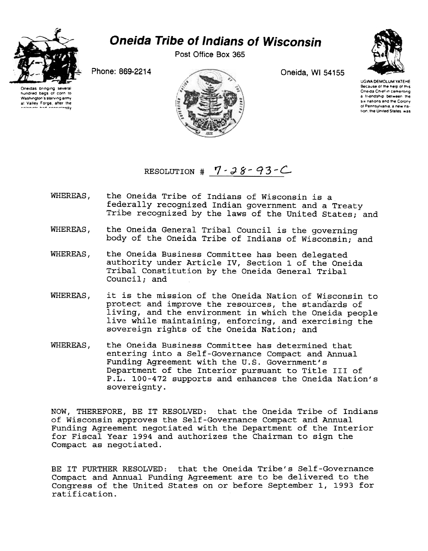

## **Oneida Tribe of Indians of Wisconsin**

Post Office Box 365



Phone: 869-2214

Oneidas brinoino severa hundred bags of corn to Washington's starving army at Valley Forge, after the



Oneida, WI 54155

**UGWA DEMOLUM YATEHE** Because of the help of this Oneida Chief in cementing a triendship between the six nations and the Colony of Pennsylvania is new nation, the United States, was

RESOLUTION #  $7 - 38 - 93 - C$ 

- the Oneida Tribe of Indians of Wisconsin is a WHEREAS. federally recognized Indian government and a Treaty Tribe recognized by the laws of the United States; and
- WHEREAS, the Oneida General Tribal Council is the governing body of the Oneida Tribe of Indians of Wisconsin; and
- WHEREAS, the Oneida Business Committee has been delegated authority under Article IV, Section 1 of the Oneida Tribal Constitution by the Oneida General Tribal Council; and
- WHEREAS, it is the mission of the Oneida Nation of Wisconsin to protect and improve the resources, the standards of living, and the environment in which the Oneida people live while maintaining, enforcing, and exercising the sovereign rights of the Oneida Nation; and
- WHEREAS, the Oneida Business Committee has determined that entering into a Self-Governance Compact and Annual Funding Agreement with the U.S. Government's Department of the Interior pursuant to Title III of P.L. 100-472 supports and enhances the Oneida Nation's sovereignty.

NOW, THEREFORE, BE IT RESOLVED: that the Oneida Tribe of Indians of Wisconsin approves the Self-Governance Compact and Annual Funding Agreement negotiated with the Department of the Interior for Fiscal Year 1994 and authorizes the Chairman to sign the Compact as negotiated.

BE IT FURTHER RESOLVED: that the Oneida Tribe's Self-Governance Compact and Annual Funding Agreement are to be delivered to the Congress of the United States on or before September 1, 1993 for ratification.